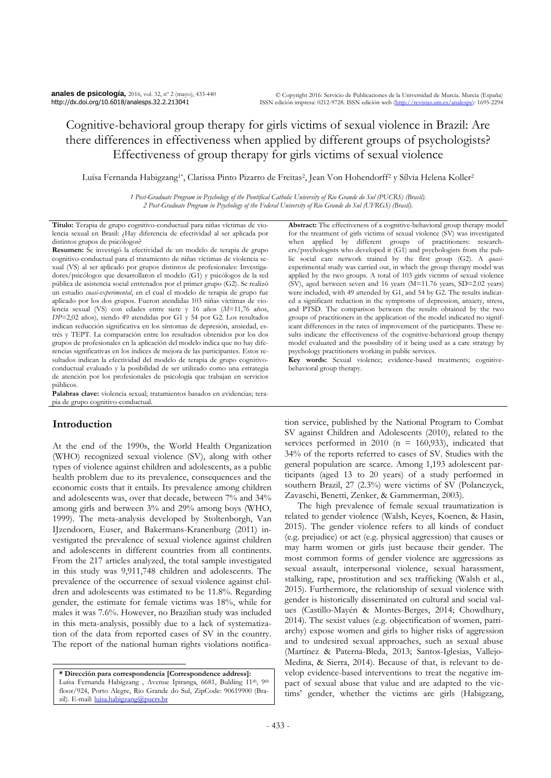# Cognitive-behavioral group therapy for girls victims of sexual violence in Brazil: Are there differences in effectiveness when applied by different groups of psychologists? Effectiveness of group therapy for girls victims of sexual violence

Luísa Fernanda Habigzang<sup>1\*</sup>, Clarissa Pinto Pizarro de Freitas<sup>2</sup>, Jean Von Hohendorff<sup>2</sup> y Sílvia Helena Koller<sup>2</sup>

*1 Post-Graduate Program in Psychology of the Pontifical Catholic University of Rio Grande do Sul (PUCRS) (Brasil). 2 Post-Graduate Program in Psychology of the Federal University of Rio Grande do Sul (UFRGS) (Brasil).*

**Título:** Terapia de grupo cognitivo-conductual para niñas víctimas de violencia sexual en Brasil: ¿Hay diferencia de efectividad al ser aplicada por distintos grupos de psicólogos?

**Resumen:** Se investigó la efectividad de un modelo de terapia de grupo cognitivo-conductual para el tratamiento de niñas víctimas de violencia sexual (VS) al ser aplicado por grupos distintos de profesionales: Investigadores/psicólogos que desarrollaron el modelo (G1) y psicólogos de la red pública de asistencia social entrenados por el primer grupo (G2). Se realizó un estudio *cuasi-experimental*, en el cual el modelo de terapia de grupo fue aplicado por los dos grupos. Fueron atendidas 103 niñas víctimas de violencia sexual (VS) con edades entre siete y 16 años (*M*=11,76 años, *DP*=2,02 años), siendo 49 atendidas por G1 y 54 por G2. Los resultados indican reducción significativa en los síntomas de depresión, ansiedad, estrés y TEPT. La comparación entre los resultados obtenidos por los dos grupos de profesionales en la aplicación del modelo indica que no hay diferencias significativas en los índices de mejora de las participantes. Estos resultados indican la efectividad del modelo de terapia de grupo cognitivoconductual evaluado y la posibilidad de ser utilizado como una estrategia de atención por los profesionales de psicología que trabajan en servicios públicos.

**Palabras clave:** violencia sexual; tratamientos basados en evidencias; terapia de grupo cognitivo-conductual.

# **Introduction**

 $\overline{a}$ 

At the end of the 1990s, the World Health Organization (WHO) recognized sexual violence (SV), along with other types of violence against children and adolescents, as a public health problem due to its prevalence, consequences and the economic costs that it entails. Its prevalence among children and adolescents was, over that decade, between 7% and 34% among girls and between 3% and 29% among boys (WHO, 1999). The meta-analysis developed by Stoltenborgh, Van IJzendoorn, Euser, and Bakermans-Kranenburg (2011) investigated the prevalence of sexual violence against children and adolescents in different countries from all continents. From the 217 articles analyzed, the total sample investigated in this study was 9,911,748 children and adolescents. The prevalence of the occurrence of sexual violence against children and adolescents was estimated to be 11.8%. Regarding gender, the estimate for female victims was 18%, while for males it was 7.6%. However, no Brazilian study was included in this meta-analysis, possibly due to a lack of systematization of the data from reported cases of SV in the country. The report of the national human rights violations notifica-

**\* Dirección para correspondencia [Correspondence address]:** Luísa Fernanda Habigzang, Avenue Ipiranga, 6681, Bulding 11th, 9th floor/924, Porto Alegre, Rio Grande do Sul, ZipCode: 90619900 (Brazil). E-mail: [luisa.habigzang@pucrs.br](mailto:luisa.habigzang@pucrs.br)

**Abstract:** The effectiveness of a cognitive-behavioral group therapy model for the treatment of girls victims of sexual violence (SV) was investigated when applied by different groups of practitioners: researchers/psychologists who developed it (G1) and psychologists from the public social care network trained by the first group (G2). A *quasi*experimental study was carried out, in which the group therapy model was applied by the two groups. A total of 103 girls victims of sexual violence (SV), aged between seven and 16 years (M=11.76 years, SD=2.02 years) were included, with 49 attended by G1, and 54 by G2. The results indicated a significant reduction in the symptoms of depression, anxiety, stress, and PTSD. The comparison between the results obtained by the two groups of practitioners in the application of the model indicated no significant differences in the rates of improvement of the participants. These results indicate the effectiveness of the cognitive-behavioral group therapy model evaluated and the possibility of it being used as a care strategy by psychology practitioners working in public services.

**Key words:** Sexual violence; evidence-based treatments; cognitivebehavioral group therapy.

tion service, published by the National Program to Combat SV against Children and Adolescents (2010), related to the services performed in 2010 ( $n = 160,933$ ), indicated that 34% of the reports referred to cases of SV. Studies with the general population are scarce. Among 1,193 adolescent participants (aged 13 to 20 years) of a study performed in southern Brazil, 27 (2.3%) were victims of SV (Polanczyck, Zavaschi, Benetti, Zenker, & Gammerman, 2003).

The high prevalence of female sexual traumatization is related to gender violence (Walsh, Keyes, Koenen, & Hasin, 2015). The gender violence refers to all kinds of conduct (e.g. prejudice) or act (e.g. physical aggression) that causes or may harm women or girls just because their gender. The most common forms of gender violence are aggressions as sexual assault, interpersonal violence, sexual harassment, stalking, rape, prostitution and sex trafficking (Walsh et al., 2015). Furthermore, the relationship of sexual violence with gender is historically disseminated on cultural and social values (Castillo-Mayén & Montes-Berges, 2014; Chowdhury, 2014). The sexist values (e.g. objectification of women, patriarchy) expose women and girls to higher risks of aggression and to undesired sexual approaches, such as sexual abuse (Martínez & Paterna-Bleda, 2013; Santos-Iglesias, Vallejo-Medina, & Sierra, 2014). Because of that, is relevant to develop evidence-based interventions to treat the negative impact of sexual abuse that value and are adapted to the victims' gender, whether the victims are girls (Habigzang,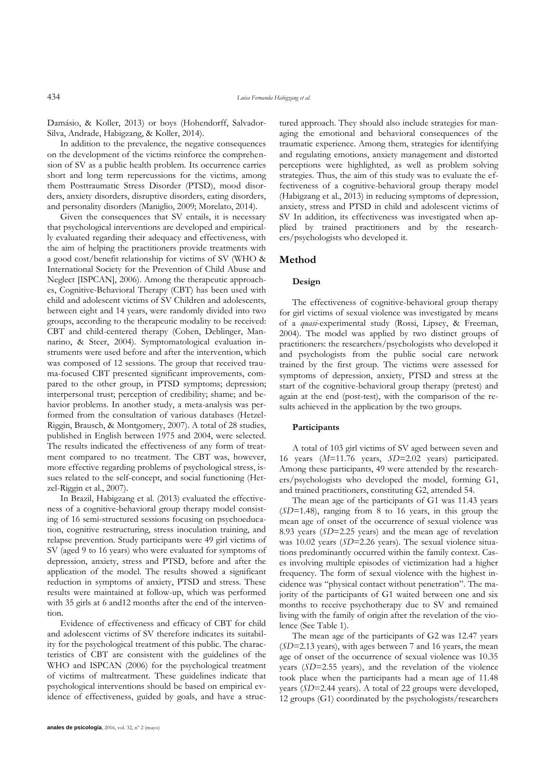Damásio, & Koller, 2013) or boys (Hohendorff, Salvador-Silva, Andrade, Habigzang, & Koller, 2014).

In addition to the prevalence, the negative consequences on the development of the victims reinforce the comprehension of SV as a public health problem. Its occurrence carries short and long term repercussions for the victims, among them Posttraumatic Stress Disorder (PTSD), mood disorders, anxiety disorders, disruptive disorders, eating disorders, and personality disorders (Maniglio, 2009; Morelato, 2014).

Given the consequences that SV entails, it is necessary that psychological interventions are developed and empirically evaluated regarding their adequacy and effectiveness, with the aim of helping the practitioners provide treatments with a good cost/benefit relationship for victims of SV (WHO & International Society for the Prevention of Child Abuse and Neglect [ISPCAN], 2006). Among the therapeutic approaches, Cognitive-Behavioral Therapy (CBT) has been used with child and adolescent victims of SV Children and adolescents, between eight and 14 years, were randomly divided into two groups, according to the therapeutic modality to be received: CBT and child-centered therapy (Cohen, Deblinger, Mannarino, & Steer, 2004). Symptomatological evaluation instruments were used before and after the intervention, which was composed of 12 sessions. The group that received trauma-focused CBT presented significant improvements, compared to the other group, in PTSD symptoms; depression; interpersonal trust; perception of credibility; shame; and behavior problems. In another study, a meta-analysis was performed from the consultation of various databases (Hetzel-Riggin, Brausch, & Montgomery, 2007). A total of 28 studies, published in English between 1975 and 2004, were selected. The results indicated the effectiveness of any form of treatment compared to no treatment. The CBT was, however, more effective regarding problems of psychological stress, issues related to the self-concept, and social functioning (Hetzel-Riggin et al., 2007).

In Brazil, Habigzang et al. (2013) evaluated the effectiveness of a cognitive-behavioral group therapy model consisting of 16 semi-structured sessions focusing on psychoeducation, cognitive restructuring, stress inoculation training, and relapse prevention. Study participants were 49 girl victims of SV (aged 9 to 16 years) who were evaluated for symptoms of depression, anxiety, stress and PTSD, before and after the application of the model. The results showed a significant reduction in symptoms of anxiety, PTSD and stress. These results were maintained at follow-up, which was performed with 35 girls at 6 and12 months after the end of the intervention.

Evidence of effectiveness and efficacy of CBT for child and adolescent victims of SV therefore indicates its suitability for the psychological treatment of this public. The characteristics of CBT are consistent with the guidelines of the WHO and ISPCAN (2006) for the psychological treatment of victims of maltreatment. These guidelines indicate that psychological interventions should be based on empirical evidence of effectiveness, guided by goals, and have a structured approach. They should also include strategies for managing the emotional and behavioral consequences of the traumatic experience. Among them, strategies for identifying and regulating emotions, anxiety management and distorted perceptions were highlighted, as well as problem solving strategies. Thus, the aim of this study was to evaluate the effectiveness of a cognitive-behavioral group therapy model (Habigzang et al., 2013) in reducing symptoms of depression, anxiety, stress and PTSD in child and adolescent victims of SV In addition, its effectiveness was investigated when applied by trained practitioners and by the researchers/psychologists who developed it.

#### **Method**

#### **Design**

The effectiveness of cognitive-behavioral group therapy for girl victims of sexual violence was investigated by means of a *quasi*-experimental study (Rossi, Lipsey, & Freeman, 2004). The model was applied by two distinct groups of practitioners: the researchers/psychologists who developed it and psychologists from the public social care network trained by the first group. The victims were assessed for symptoms of depression, anxiety, PTSD and stress at the start of the cognitive-behavioral group therapy (pretest) and again at the end (post-test), with the comparison of the results achieved in the application by the two groups.

#### **Participants**

A total of 103 girl victims of SV aged between seven and 16 years (*M*=11.76 years, *SD*=2.02 years) participated. Among these participants, 49 were attended by the researchers/psychologists who developed the model, forming G1, and trained practitioners, constituting G2, attended 54.

The mean age of the participants of G1 was 11.43 years (*SD*=1.48), ranging from 8 to 16 years, in this group the mean age of onset of the occurrence of sexual violence was 8.93 years (*SD*=2.25 years) and the mean age of revelation was 10.02 years (*SD*=2.26 years). The sexual violence situations predominantly occurred within the family context. Cases involving multiple episodes of victimization had a higher frequency. The form of sexual violence with the highest incidence was "physical contact without penetration". The majority of the participants of G1 waited between one and six months to receive psychotherapy due to SV and remained living with the family of origin after the revelation of the violence (See Table 1).

The mean age of the participants of G2 was 12.47 years (*SD*=2.13 years), with ages between 7 and 16 years, the mean age of onset of the occurrence of sexual violence was 10.35 years (*SD*=2.55 years), and the revelation of the violence took place when the participants had a mean age of 11.48 years (*SD*=2.44 years). A total of 22 groups were developed, 12 groups (G1) coordinated by the psychologists/researchers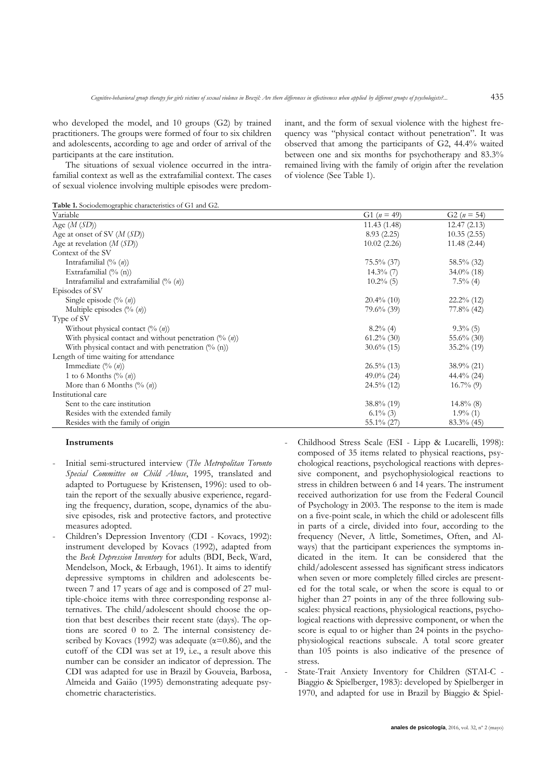who developed the model, and 10 groups (G2) by trained practitioners. The groups were formed of four to six children and adolescents, according to age and order of arrival of the participants at the care institution.

The situations of sexual violence occurred in the intrafamilial context as well as the extrafamilial context. The cases of sexual violence involving multiple episodes were predominant, and the form of sexual violence with the highest frequency was "physical contact without penetration". It was observed that among the participants of G2, 44.4% waited between one and six months for psychotherapy and 83.3% remained living with the family of origin after the revelation of violence (See Table 1).

**Table 1.** Sociodemographic characteristics of G1 and G2.

| Variable                                                          | G1 $(n = 49)$ | G2 ( $n = 54$ ) |
|-------------------------------------------------------------------|---------------|-----------------|
| Age $(M(SD))$                                                     | 11.43(1.48)   | 12.47(2.13)     |
| Age at onset of SV $(M(SD))$                                      | 8.93(2.25)    | 10.35(2.55)     |
| Age at revelation $(M(SD))$                                       | 10.02(2.26)   | 11.48(2.44)     |
| Context of the SV                                                 |               |                 |
| Intrafamilial $(\% (n))$                                          | $75.5\%$ (37) | 58.5% (32)      |
| Extrafamilial (% (n))                                             | $14.3\%$ (7)  | $34.0\%$ (18)   |
| Intrafamilial and extrafamilial $(\%$ (n))                        | $10.2\%$ (5)  | $7.5\%$ (4)     |
| Episodes of SV                                                    |               |                 |
| Single episode $(\% (n))$                                         | $20.4\%$ (10) | $22.2\%$ (12)   |
| Multiple episodes $(\% (n))$                                      | $79.6\%$ (39) | $77.8%$ (42)    |
| Type of SV                                                        |               |                 |
| Without physical contact $(\% (n))$                               | $8.2\%$ (4)   | $9.3\%$ (5)     |
| With physical contact and without penetration $(\%$ ( <i>n</i> )) | $61.2\%$ (30) | 55.6\% (30)     |
| With physical contact and with penetration $(\%$ (n))             | $30.6\%$ (15) | $35.2\%$ (19)   |
| Length of time waiting for attendance                             |               |                 |
| Immediate $(\% (n))$                                              | $26.5\%$ (13) | $38.9\%$ (21)   |
| 1 to 6 Months $(\% (n))$                                          | 49.0% $(24)$  | $44.4\%$ (24)   |
| More than 6 Months $(\% (n))$                                     | $24.5\%$ (12) | $16.7\%$ (9)    |
| Institutional care                                                |               |                 |
| Sent to the care institution                                      | $38.8\%$ (19) | $14.8\%$ (8)    |
| Resides with the extended family                                  | $6.1\%$ (3)   | $1.9\%$ (1)     |
| Resides with the family of origin                                 | $55.1\%$ (27) | $83.3\%$ (45)   |

#### **Instruments**

- Initial semi-structured interview (*The Metropolitan Toronto Special Committee on Child Abuse*, 1995, translated and adapted to Portuguese by Kristensen, 1996): used to obtain the report of the sexually abusive experience, regarding the frequency, duration, scope, dynamics of the abusive episodes, risk and protective factors, and protective measures adopted.
- Children's Depression Inventory (CDI Kovacs, 1992): instrument developed by Kovacs (1992), adapted from the *Beck Depression Inventory* for adults (BDI, Beck, Ward, Mendelson, Mock, & Erbaugh, 1961). It aims to identify depressive symptoms in children and adolescents between 7 and 17 years of age and is composed of 27 multiple-choice items with three corresponding response alternatives. The child/adolescent should choose the option that best describes their recent state (days). The options are scored 0 to 2. The internal consistency described by Kovacs (1992) was adequate ( $\alpha$ =0.86), and the cutoff of the CDI was set at 19, i.e., a result above this number can be consider an indicator of depression. The CDI was adapted for use in Brazil by Gouveia, Barbosa, Almeida and Gaião (1995) demonstrating adequate psychometric characteristics.

- Childhood Stress Scale (ESI - Lipp & Lucarelli, 1998): composed of 35 items related to physical reactions, psychological reactions, psychological reactions with depressive component, and psychophysiological reactions to stress in children between 6 and 14 years. The instrument received authorization for use from the Federal Council of Psychology in 2003. The response to the item is made on a five-point scale, in which the child or adolescent fills in parts of a circle, divided into four, according to the frequency (Never, A little, Sometimes, Often, and Always) that the participant experiences the symptoms indicated in the item. It can be considered that the child/adolescent assessed has significant stress indicators when seven or more completely filled circles are presented for the total scale, or when the score is equal to or higher than 27 points in any of the three following subscales: physical reactions, physiological reactions, psychological reactions with depressive component, or when the score is equal to or higher than 24 points in the psychophysiological reactions subscale. A total score greater than 105 points is also indicative of the presence of stress.

State-Trait Anxiety Inventory for Children (STAI-C -Biaggio & Spielberger, 1983): developed by Spielberger in 1970, and adapted for use in Brazil by Biaggio & Spiel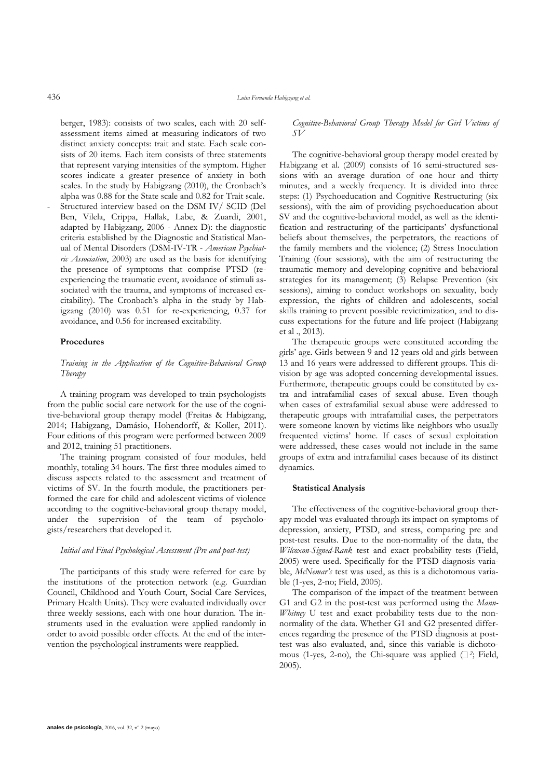berger, 1983): consists of two scales, each with 20 selfassessment items aimed at measuring indicators of two distinct anxiety concepts: trait and state. Each scale consists of 20 items. Each item consists of three statements that represent varying intensities of the symptom. Higher scores indicate a greater presence of anxiety in both scales. In the study by Habigzang (2010), the Cronbach's alpha was 0.88 for the State scale and 0.82 for Trait scale.

Structured interview based on the DSM IV/ SCID (Del Ben, Vilela, Crippa, Hallak, Labe, & Zuardi, 2001, adapted by Habigzang, 2006 - Annex D): the diagnostic criteria established by the Diagnostic and Statistical Manual of Mental Disorders (DSM-IV-TR - *American Psychiatric Association*, 2003) are used as the basis for identifying the presence of symptoms that comprise PTSD (reexperiencing the traumatic event, avoidance of stimuli associated with the trauma, and symptoms of increased excitability). The Cronbach's alpha in the study by Habigzang (2010) was 0.51 for re-experiencing, 0.37 for avoidance, and 0.56 for increased excitability.

#### **Procedures**

## *Training in the Application of the Cognitive-Behavioral Group Therapy*

A training program was developed to train psychologists from the public social care network for the use of the cognitive-behavioral group therapy model (Freitas & Habigzang, 2014; Habigzang, Damásio, Hohendorff, & Koller, 2011). Four editions of this program were performed between 2009 and 2012, training 51 practitioners.

The training program consisted of four modules, held monthly, totaling 34 hours. The first three modules aimed to discuss aspects related to the assessment and treatment of victims of SV. In the fourth module, the practitioners performed the care for child and adolescent victims of violence according to the cognitive-behavioral group therapy model, under the supervision of the team of psychologists/researchers that developed it.

#### *Initial and Final Psychological Assessment (Pre and post-test)*

The participants of this study were referred for care by the institutions of the protection network (e.g*.* Guardian Council, Childhood and Youth Court, Social Care Services, Primary Health Units). They were evaluated individually over three weekly sessions, each with one hour duration. The instruments used in the evaluation were applied randomly in order to avoid possible order effects. At the end of the intervention the psychological instruments were reapplied.

*Cognitive-Behavioral Group Therapy Model for Girl Victims of SV*

The cognitive-behavioral group therapy model created by Habigzang et al. (2009) consists of 16 semi-structured sessions with an average duration of one hour and thirty minutes, and a weekly frequency. It is divided into three steps: (1) Psychoeducation and Cognitive Restructuring (six sessions), with the aim of providing psychoeducation about SV and the cognitive-behavioral model, as well as the identification and restructuring of the participants' dysfunctional beliefs about themselves, the perpetrators, the reactions of the family members and the violence; (2) Stress Inoculation Training (four sessions), with the aim of restructuring the traumatic memory and developing cognitive and behavioral strategies for its management; (3) Relapse Prevention (six sessions), aiming to conduct workshops on sexuality, body expression, the rights of children and adolescents, social skills training to prevent possible revictimization, and to discuss expectations for the future and life project (Habigzang et al ., 2013).

The therapeutic groups were constituted according the girls' age. Girls between 9 and 12 years old and girls between 13 and 16 years were addressed to different groups. This division by age was adopted concerning developmental issues. Furthermore, therapeutic groups could be constituted by extra and intrafamilial cases of sexual abuse. Even though when cases of extrafamilial sexual abuse were addressed to therapeutic groups with intrafamilial cases, the perpetrators were someone known by victims like neighbors who usually frequented victims' home. If cases of sexual exploitation were addressed, these cases would not include in the same groups of extra and intrafamilial cases because of its distinct dynamics.

#### **Statistical Analysis**

The effectiveness of the cognitive-behavioral group therapy model was evaluated through its impact on symptoms of depression, anxiety, PTSD, and stress, comparing pre and post-test results. Due to the non-normality of the data, the *Wilcoxon-Signed-Rank* test and exact probability tests (Field, 2005) were used. Specifically for the PTSD diagnosis variable, *McNemar's* test was used, as this is a dichotomous variable (1-yes, 2-no; Field, 2005).

The comparison of the impact of the treatment between G1 and G2 in the post-test was performed using the *Mann-Whitney* U test and exact probability tests due to the nonnormality of the data. Whether G1 and G2 presented differences regarding the presence of the PTSD diagnosis at posttest was also evaluated, and, since this variable is dichotomous (1-yes, 2-no), the Chi-square was applied  $( \Box^2; \text{Field},$ 2005).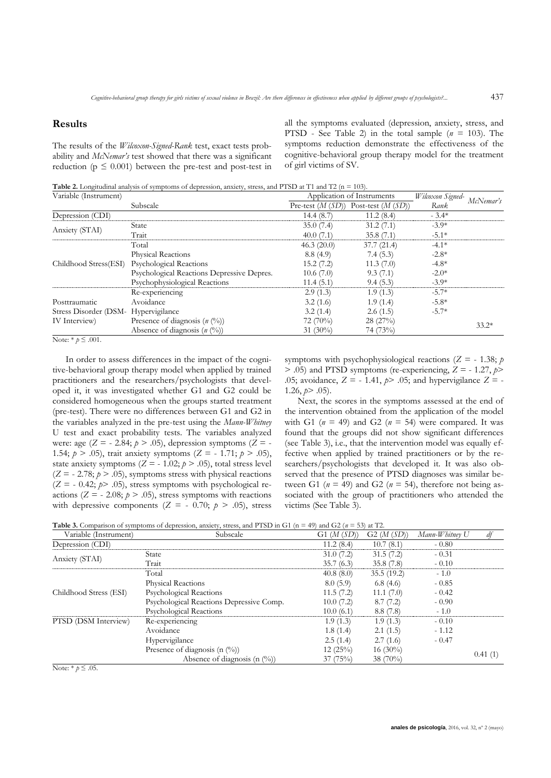#### **Results**

The results of the *Wilcoxon-Signed-Rank* test, exact tests probability and *McNemar's* test showed that there was a significant reduction ( $p \leq 0.001$ ) between the pre-test and post-test in all the symptoms evaluated (depression, anxiety, stress, and PTSD - See Table 2) in the total sample (*n* = 103). The symptoms reduction demonstrate the effectiveness of the cognitive-behavioral group therapy model for the treatment of girl victims of SV.

Table 2. Longitudinal analysis of symptoms of depression, anxiety, stress, and PTSD at T1 and T2 (n = 103).

| Variable (Instrument)                |                                            | Application of Instruments |                                        | Wilcoxon Signed- | McNemar's |
|--------------------------------------|--------------------------------------------|----------------------------|----------------------------------------|------------------|-----------|
|                                      | Subscale                                   |                            | Pre-test $(M(SD))$ Post-test $(M(SD))$ | Rank             |           |
| Depression (CDI)                     |                                            | 14.4(8.7)                  | 11.2(8.4)                              | $-3.4*$          |           |
| Anxiety (STAI)                       | <b>State</b>                               | 35.0(7.4)                  | 31.2(7.1)                              | $-3.9*$          |           |
|                                      | Trait                                      | 40.0(7.1)                  | 35.8(7.1)                              | $-5.1*$          |           |
| Childhood Stress(ESI)                | Total                                      | 46.3(20.0)                 | 37.7(21.4)                             | $-4.1*$          |           |
|                                      | <b>Physical Reactions</b>                  | 8.8(4.9)                   | 7.4(5.3)                               | $-2.8*$          |           |
|                                      | Psychological Reactions                    | 15.2(7.2)                  | 11.3(7.0)                              | $-4.8*$          |           |
|                                      | Psychological Reactions Depressive Depres. | 10.6(7.0)                  | 9.3(7.1)                               | $-2.0*$          |           |
|                                      | Psychophysiological Reactions              | 11.4(5.1)                  | 9.4(5.3)                               | $-3.9*$          |           |
| Posttraumatic                        | Re-experiencing                            | 2.9(1.3)                   | 1.9(1.3)                               | $-5.7*$          |           |
|                                      | Avoidance                                  | 3.2(1.6)                   | 1.9(1.4)                               | $-5.8*$          |           |
| Stress Disorder (DSM- Hypervigilance |                                            | 3.2(1.4)                   | 2.6(1.5)                               | $-5.7*$          |           |
| IV Interview)                        | Presence of diagnosis $(n \, (%)$          | 72(70%)                    | 28(27%)                                |                  | $33.2*$   |
|                                      | Absence of diagnosis $(n \, (%)$           | $31(30\%)$                 | 74 (73%)                               |                  |           |

Note:  $*$   $p \leq .001$ .

In order to assess differences in the impact of the cognitive-behavioral group therapy model when applied by trained practitioners and the researchers/psychologists that developed it, it was investigated whether G1 and G2 could be considered homogeneous when the groups started treatment (pre-test). There were no differences between G1 and G2 in the variables analyzed in the pre-test using the *Mann-Whitney* U test and exact probability tests. The variables analyzed were: age  $(Z = -2.84; p > .05)$ , depression symptoms  $(Z = -1.84; p > .05)$ 1.54;  $p > .05$ ), trait anxiety symptoms ( $Z = -1.71$ ;  $p > .05$ ), state anxiety symptoms  $(Z = -1.02; p > .05)$ , total stress level  $(Z = -2.78; p > .05)$ , symptoms stress with physical reactions  $(Z = -0.42; p > .05)$ , stress symptoms with psychological reactions  $(Z = -2.08; p > .05)$ , stress symptoms with reactions with depressive components  $(Z = -0.70; p > .05)$ , stress symptoms with psychophysiological reactions ( $Z = -1.38$ ; *p*  $>$  .05) and PTSD symptoms (re-experiencing,  $Z = -1.27$ ,  $p$ .05; avoidance,  $Z = -1.41$ ,  $p > .05$ ; and hypervigilance  $Z = -$ 1.26,  $p > .05$ ).

Next, the scores in the symptoms assessed at the end of the intervention obtained from the application of the model with G1 ( $n = 49$ ) and G2 ( $n = 54$ ) were compared. It was found that the groups did not show significant differences (see Table 3), i.e., that the intervention model was equally effective when applied by trained practitioners or by the researchers/psychologists that developed it. It was also observed that the presence of PTSD diagnoses was similar between G1 ( $n = 49$ ) and G2 ( $n = 54$ ), therefore not being associated with the group of practitioners who attended the victims (See Table 3).

**Table 3.** Comparison of symptoms of depression, anxiety, stress, and PTSD in G1 (n = 49) and G2 (*n* = 53) at T2.

| Variable (Instrument)  | Subscale                                 | G1 $(M(SD))$ | G2(M(SD))  | Mann-Whitney U | df      |
|------------------------|------------------------------------------|--------------|------------|----------------|---------|
| Depression (CDI)       |                                          | 11.2(8.4)    | 10.7(8.1)  | $-0.80$        |         |
| Anxiety (STAI)         | <b>State</b>                             | 31.0(7.2)    | 31.5(7.2)  | $-0.31$        |         |
|                        | Trait                                    | 35.7(6.3)    | 35.8(7.8)  | $-0.10$        |         |
| Childhood Stress (ESI) | Total                                    | 40.8(8.0)    | 35.5(19.2) | $-1.0$         |         |
|                        | Physical Reactions                       | 8.0(5.9)     | 6.8(4.6)   | $-0.85$        |         |
|                        | Psychological Reactions                  | 11.5(7.2)    | 11.1(7.0)  | $-0.42$        |         |
|                        | Psychological Reactions Depressive Comp. | 10.0(7.2)    | 8.7(7.2)   | $-0.90$        |         |
|                        | Psychological Reactions                  | 10.0(6.1)    | 8.8(7.8)   | $-1.0$         |         |
| PTSD (DSM Interview)   | Re-experiencing                          | 1.9(1.3)     | 1.9(1.3)   | $-0.10$        |         |
|                        | Avoidance                                | 1.8(1.4)     | 2.1(1.5)   | $-1.12$        |         |
|                        | Hypervigilance                           | 2.5(1.4)     | 2.7(1.6)   | $-0.47$        |         |
|                        | Presence of diagnosis (n $(\%)$ )        | 12(25%)      | $16(30\%)$ |                | 0.41(1) |
|                        | Absence of diagnosis (n $(\%)$ )         | 37(75%)      | $38(70\%)$ |                |         |

Note:  $*$   $p \leq .05$ .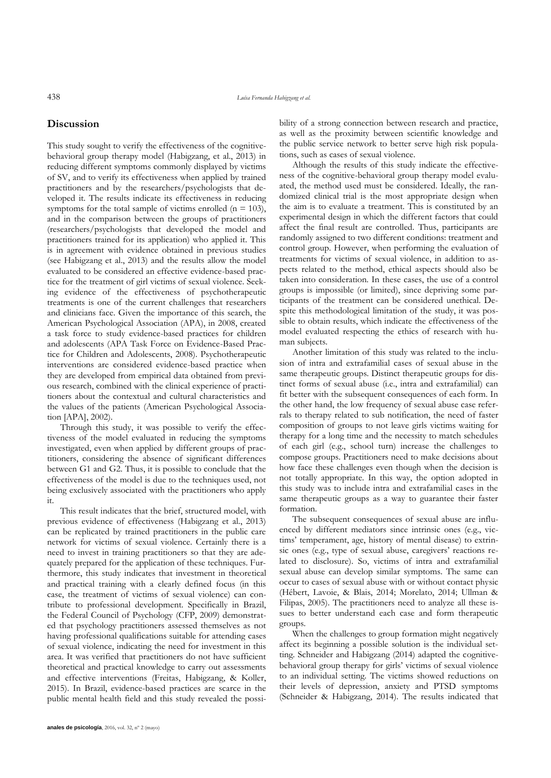# **Discussion**

This study sought to verify the effectiveness of the cognitivebehavioral group therapy model (Habigzang, et al., 2013) in reducing different symptoms commonly displayed by victims of SV, and to verify its effectiveness when applied by trained practitioners and by the researchers/psychologists that developed it. The results indicate its effectiveness in reducing symptoms for the total sample of victims enrolled  $(n = 103)$ , and in the comparison between the groups of practitioners (researchers/psychologists that developed the model and practitioners trained for its application) who applied it. This is in agreement with evidence obtained in previous studies (see Habigzang et al., 2013) and the results allow the model evaluated to be considered an effective evidence-based practice for the treatment of girl victims of sexual violence. Seeking evidence of the effectiveness of psychotherapeutic treatments is one of the current challenges that researchers and clinicians face. Given the importance of this search, the American Psychological Association (APA), in 2008, created a task force to study evidence-based practices for children and adolescents (APA Task Force on Evidence-Based Practice for Children and Adolescents, 2008). Psychotherapeutic interventions are considered evidence-based practice when they are developed from empirical data obtained from previous research, combined with the clinical experience of practitioners about the contextual and cultural characteristics and the values of the patients (American Psychological Association [APA], 2002).

Through this study, it was possible to verify the effectiveness of the model evaluated in reducing the symptoms investigated, even when applied by different groups of practitioners, considering the absence of significant differences between G1 and G2. Thus, it is possible to conclude that the effectiveness of the model is due to the techniques used, not being exclusively associated with the practitioners who apply it.

This result indicates that the brief, structured model, with previous evidence of effectiveness (Habigzang et al., 2013) can be replicated by trained practitioners in the public care network for victims of sexual violence. Certainly there is a need to invest in training practitioners so that they are adequately prepared for the application of these techniques. Furthermore, this study indicates that investment in theoretical and practical training with a clearly defined focus (in this case, the treatment of victims of sexual violence) can contribute to professional development. Specifically in Brazil, the Federal Council of Psychology (CFP, 2009) demonstrated that psychology practitioners assessed themselves as not having professional qualifications suitable for attending cases of sexual violence, indicating the need for investment in this area. It was verified that practitioners do not have sufficient theoretical and practical knowledge to carry out assessments and effective interventions (Freitas, Habigzang, & Koller, 2015). In Brazil, evidence-based practices are scarce in the public mental health field and this study revealed the possibility of a strong connection between research and practice, as well as the proximity between scientific knowledge and the public service network to better serve high risk populations, such as cases of sexual violence.

Although the results of this study indicate the effectiveness of the cognitive-behavioral group therapy model evaluated, the method used must be considered. Ideally, the randomized clinical trial is the most appropriate design when the aim is to evaluate a treatment. This is constituted by an experimental design in which the different factors that could affect the final result are controlled. Thus, participants are randomly assigned to two different conditions: treatment and control group. However, when performing the evaluation of treatments for victims of sexual violence, in addition to aspects related to the method, ethical aspects should also be taken into consideration. In these cases, the use of a control groups is impossible (or limited), since depriving some participants of the treatment can be considered unethical. Despite this methodological limitation of the study, it was possible to obtain results, which indicate the effectiveness of the model evaluated respecting the ethics of research with human subjects.

Another limitation of this study was related to the inclusion of intra and extrafamilial cases of sexual abuse in the same therapeutic groups. Distinct therapeutic groups for distinct forms of sexual abuse (i.e., intra and extrafamilial) can fit better with the subsequent consequences of each form. In the other hand, the low frequency of sexual abuse case referrals to therapy related to sub notification, the need of faster composition of groups to not leave girls victims waiting for therapy for a long time and the necessity to match schedules of each girl (e.g., school turn) increase the challenges to compose groups. Practitioners need to make decisions about how face these challenges even though when the decision is not totally appropriate. In this way, the option adopted in this study was to include intra and extrafamilial cases in the same therapeutic groups as a way to guarantee their faster formation.

The subsequent consequences of sexual abuse are influenced by different mediators since intrinsic ones (e.g., victims' temperament, age, history of mental disease) to extrinsic ones (e.g., type of sexual abuse, caregivers' reactions related to disclosure). So, victims of intra and extrafamilial sexual abuse can develop similar symptoms. The same can occur to cases of sexual abuse with or without contact physic (Hébert, Lavoie, & Blais, 2014; Morelato, 2014; Ullman & Filipas, 2005). The practitioners need to analyze all these issues to better understand each case and form therapeutic groups.

When the challenges to group formation might negatively affect its beginning a possible solution is the individual setting. Schneider and Habigzang (2014) adapted the cognitivebehavioral group therapy for girls' victims of sexual violence to an individual setting. The victims showed reductions on their levels of depression, anxiety and PTSD symptoms (Schneider & Habigzang, 2014). The results indicated that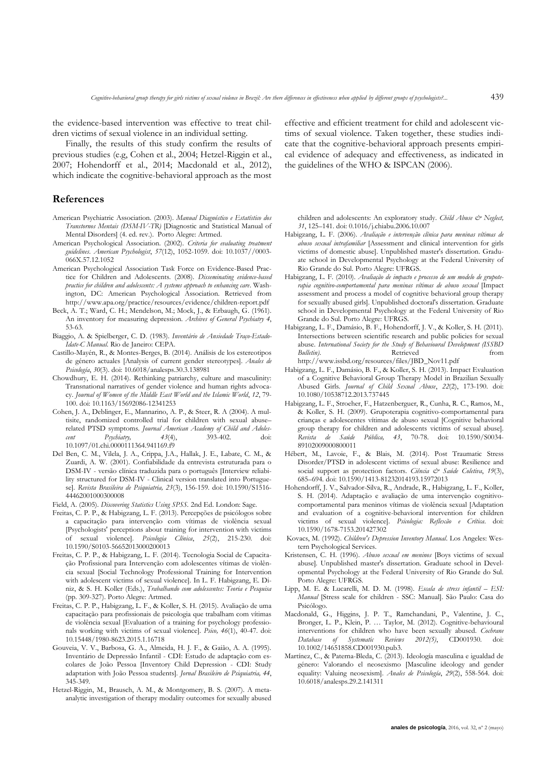the evidence-based intervention was effective to treat children victims of sexual violence in an individual setting.

Finally, the results of this study confirm the results of previous studies (e.g, Cohen et al., 2004; Hetzel-Riggin et al., 2007; Hohendorff et al., 2014; Macdonald et al., 2012), which indicate the cognitive-behavioral approach as the most

## **References**

- American Psychiatric Association. (2003). *Manual Diagnóstico e Estatístico dos Transtornos Mentais (DSM-IV-TR)* [Diagnostic and Statistical Manual of Mental Disorders] (4. ed. rev.). Porto Alegre: Artmed.
- American Psychological Association. (2002). *Criteria for evaluating treatment guidelines*. *American Psychologist*, *57*(12), 1052-1059. doi: 10.1037//0003- 066X.57.12.1052
- American Psychological Association Task Force on Evidence-Based Practice for Children and Adolescents. (2008). *Disseminating evidence-based practice for children and adolescents: A systems approach to enhancing care*. Washington, DC: American Psychological Association. Retrieved from http://www.apa.org/practice/resources/evidence/children-report.pdf
- Beck, A. T.; Ward, C. H.; Mendelson, M.; Mock, J., & Erbaugh, G. (1961). An inventory for measuring depression. *Archives of General Psychiatry 4*, 53-63.
- Biaggio, A. & Spielberger, C. D. (1983). *Inventário de Ansiedade Traço-Estado-Idate-C Manual*. Rio de Janeiro: CEPA.
- Castillo-Mayén, R., & Montes-Berges, B. (2014). Análisis de los estereotipos de género actuales [Analysis of current gender stereotypes]. *Anales de Psicología*, *30*(3). doi: 10.6018/analesps.30.3.138981
- Chowdhury, E. H. (2014). Rethinking patriarchy, culture and masculinity: Transnational narratives of gender violence and human rights advocacy. *Journal of Women of the Middle East World and the Islamic World*, *12*, 79- 100. doi: 10.1163/15692086-12341253
- Cohen, J. A., Deblinger, E., Mannarino, A. P., & Steer, R. A (2004). A multisite, randomized controlled trial for children with sexual abuse– related PTSD symptoms*. Journal American Academy of Child and Adolescent Psychiatry, 43*(4), 393-402. doi: 10.1097/01.chi.0000111364.941169.f9
- Del Ben, C. M., Vilela, J. A., Crippa, J.A., Hallak, J. E., Labate, C. M., & Zuardi, A. W. (2001). Confiabilidade da entrevista estruturada para o DSM-IV - versão clínica traduzida para o português [Interview reliability structured for DSM-IV - Clinical version translated into Portuguese]. *Revista Brasileira de Psiquiatria, 23*(3), 156-159. doi: 10.1590/S1516- 44462001000300008
- Field, A. (2005). *Discovering Statistics Using SPSS.* 2nd Ed. London: Sage.
- Freitas, C. P. P., & Habigzang, L. F. (2013). Percepções de psicólogos sobre a capacitação para intervenção com vítimas de violência sexual [Psychologists' perceptions about training for intervention with victims of sexual violence]. *Psicologia Clínica*, *25*(2), 215-230. doi: 10.1590/S0103-56652013000200013
- Freitas, C. P. P., & Habigzang, L. F. (2014). Tecnologia Social de Capacitação Profissional para Intervenção com adolescentes vítimas de violência sexual [Social Technology Professional Training for Intervention with adolescent victims of sexual violence]. In L. F. Habigzang, E. Diniz, & S. H. Koller (Eds.), *Trabalhando com adolescentes: Teoria e Pesquisa*  (pp. 309-327). Porto Alegre: Artmed.
- Freitas, C. P. P., Habigzang, L. F., & Koller, S. H. (2015). Avaliação de uma capacitação para profissionais de psicologia que trabalham com vítimas de violência sexual [Evaluation of a training for psychology professionals working with victims of sexual violence]. *Psico, 46*(1), 40-47. doi: 10.15448/1980-8623.2015.1.16718
- Gouveia, V. V., Barbosa, G. A., Almeida, H. J. F., & Gaião, A. A. (1995). Inventário de Depressão Infantil - CDI: Estudo de adaptação com escolares de João Pessoa [Inventory Child Depression - CDI: Study adaptation with João Pessoa students]. *Jornal Brasileiro de Psiquiatria, 44*, 345-349.
- Hetzel-Riggin, M., Brausch, A. M., & Montgomery, B. S. (2007). A metaanalytic investigation of therapy modality outcomes for sexually abused

effective and efficient treatment for child and adolescent victims of sexual violence. Taken together, these studies indicate that the cognitive-behavioral approach presents empirical evidence of adequacy and effectiveness, as indicated in the guidelines of the WHO & ISPCAN (2006).

children and adolescents: An exploratory study. *Child Abuse & Neglect, 31*, 125–141. doi: 0.1016/j.chiabu.2006.10.007

- Habigzang, L. F. (2006). *Avaliação e intervenção clínica para meninas vítimas de abuso sexual intrafamiliar* [Assessment and clinical intervention for girls victims of domestic abuse]. Unpublished master's dissertation. Graduate school in Developmental Psychology at the Federal University of Rio Grande do Sul. Porto Alegre: UFRGS.
- Habigzang, L. F. (2010). *Avaliação de impacto e processo de um modelo de grupoterapia cognitivo-comportamental para meninas vítimas de abuso sexual* [Impact assessment and process a model of cognitive behavioral group therapy for sexually abused girls]. Unpublished doctoral's dissertation. Graduate school in Developmental Psychology at the Federal University of Rio Grande do Sul. Porto Alegre: UFRGS.
- Habigzang, L. F., Damásio, B. F., Hohendorff, J. V., & Koller, S. H. (2011). Intersections between scientific research and public policies for sexual abuse. *International Society for the Study of Behavioural Development (ISSBD Bulleting* **Bulletin** *Bulleting**Bulleting**Retrieved**from* http://www.issbd.org/resources/files/JBD\_Nov11.pdf
- Habigzang, L. F., Damásio, B. F., & Koller, S. H. (2013). Impact Evaluation of a Cognitive Behavioral Group Therapy Model in Brazilian Sexually Abused Girls. *Journal of Child Sexual Abuse*, *22*(2), 173-190. doi: 10.1080/10538712.2013.737445
- Habigzang, L. F., Stroeher, F., Hatzenberguer, R., Cunha, R. C., Ramos, M., & Koller, S. H. (2009). Grupoterapia cognitivo-comportamental para crianças e adolescentes vítimas de abuso sexual [Cognitive behavioral group therapy for children and adolescents victims of sexual abuse]. *Revista de Saúde Pública, 43*, 70-78. doi: 10.1590/S0034- 89102009000800011
- Hébert, M., Lavoie, F., & Blais, M. (2014). Post Traumatic Stress Disorder/PTSD in adolescent victims of sexual abuse: Resilience and social support as protection factors. *Ciência & Saúde Coletiva*, *19*(3), 685–694. doi: 10.1590/1413-81232014193.15972013
- Hohendorff, J. V., Salvador-Silva, R., Andrade, R., Habigzang, L. F., Koller, S. H. (2014). Adaptação e avaliação de uma intervenção cognitivocomportamental para meninos vítimas de violência sexual [Adaptation and evaluation of a cognitive-behavioral intervention for children victims of sexual violence]. *Psicologia: Reflexão e Crítica*. doi: 10.1590/1678-7153.201427302
- Kovacs, M. (1992). *Children's Depression Inventory Manual*. Los Angeles: Western Psychological Services.
- Kristensen, C. H. (1996). *Abuso sexual em meninos* [Boys victims of sexual abuse]*.* Unpublished master's dissertation. Graduate school in Developmental Psychology at the Federal University of Rio Grande do Sul. Porto Alegre: UFRGS.
- Lipp, M. E. & Lucarelli, M. D. M. (1998). *Escala de stress infantil – ESI: Manual* [Stress scale for children - SSC: Manual]. São Paulo: Casa do Psicólogo.
- Macdonald, G., Higgins, J. P. T., Ramchandani, P., Valentine, J. C., Bronger, L. P., Klein, P. … Taylor, M. (2012). Cognitive-behavioural interventions for children who have been sexually abused. *Cochrane Database of Systematic Reviews 2012(5)*, CD001930. doi: 10.1002/14651858.CD001930.pub3.
- Martínez, C., & Paterna-Bleda, C. (2013). Ideología masculina e igualdad de género: Valorando el neosexismo [Masculine ideology and gender equality: Valuing neosexism]. *Anales de Psicología*, *29*(2), 558-564. doi: 10.6018/analesps.29.2.141311